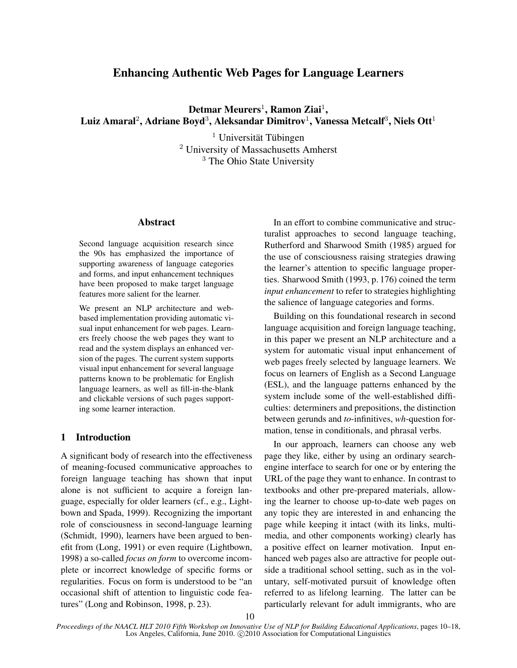# Enhancing Authentic Web Pages for Language Learners

 $\rm \bf Det$ mar  $\rm \bf Meurers^1$ ,  $\rm \bf Ramon~ Ziai^1,$ Luiz Amaral $^2$ , Adriane Boyd $^3$ , Aleksandar Dimitrov $^1$ , Vanessa Metcalf $^3$ , Niels Ott $^1$ 

> $<sup>1</sup>$  Universität Tübingen</sup> <sup>2</sup> University of Massachusetts Amherst <sup>3</sup> The Ohio State University

## Abstract

Second language acquisition research since the 90s has emphasized the importance of supporting awareness of language categories and forms, and input enhancement techniques have been proposed to make target language features more salient for the learner.

We present an NLP architecture and webbased implementation providing automatic visual input enhancement for web pages. Learners freely choose the web pages they want to read and the system displays an enhanced version of the pages. The current system supports visual input enhancement for several language patterns known to be problematic for English language learners, as well as fill-in-the-blank and clickable versions of such pages supporting some learner interaction.

## 1 Introduction

A significant body of research into the effectiveness of meaning-focused communicative approaches to foreign language teaching has shown that input alone is not sufficient to acquire a foreign language, especially for older learners (cf., e.g., Lightbown and Spada, 1999). Recognizing the important role of consciousness in second-language learning (Schmidt, 1990), learners have been argued to benefit from (Long, 1991) or even require (Lightbown, 1998) a so-called *focus on form* to overcome incomplete or incorrect knowledge of specific forms or regularities. Focus on form is understood to be "an occasional shift of attention to linguistic code features" (Long and Robinson, 1998, p. 23).

In an effort to combine communicative and structuralist approaches to second language teaching, Rutherford and Sharwood Smith (1985) argued for the use of consciousness raising strategies drawing the learner's attention to specific language properties. Sharwood Smith (1993, p. 176) coined the term *input enhancement* to refer to strategies highlighting the salience of language categories and forms.

Building on this foundational research in second language acquisition and foreign language teaching, in this paper we present an NLP architecture and a system for automatic visual input enhancement of web pages freely selected by language learners. We focus on learners of English as a Second Language (ESL), and the language patterns enhanced by the system include some of the well-established difficulties: determiners and prepositions, the distinction between gerunds and *to*-infinitives, *wh*-question formation, tense in conditionals, and phrasal verbs.

In our approach, learners can choose any web page they like, either by using an ordinary searchengine interface to search for one or by entering the URL of the page they want to enhance. In contrast to textbooks and other pre-prepared materials, allowing the learner to choose up-to-date web pages on any topic they are interested in and enhancing the page while keeping it intact (with its links, multimedia, and other components working) clearly has a positive effect on learner motivation. Input enhanced web pages also are attractive for people outside a traditional school setting, such as in the voluntary, self-motivated pursuit of knowledge often referred to as lifelong learning. The latter can be particularly relevant for adult immigrants, who are

*Proceedings of the NAACL HLT 2010 Fifth Workshop on Innovative Use of NLP for Building Educational Applications*, pages 10–18, Los Angeles, California, June 2010. ©2010 Association for Computational Linguistics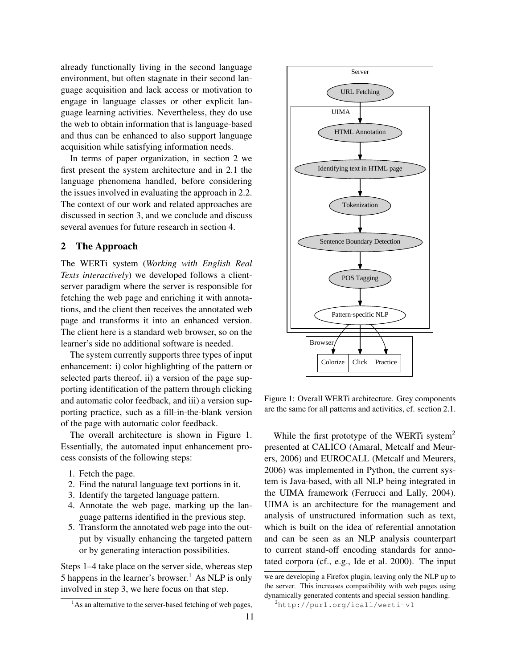already functionally living in the second language environment, but often stagnate in their second language acquisition and lack access or motivation to engage in language classes or other explicit language learning activities. Nevertheless, they do use the web to obtain information that is language-based and thus can be enhanced to also support language acquisition while satisfying information needs.

In terms of paper organization, in section 2 we first present the system architecture and in 2.1 the language phenomena handled, before considering the issues involved in evaluating the approach in 2.2. The context of our work and related approaches are discussed in section 3, and we conclude and discuss several avenues for future research in section 4.

## 2 The Approach

The WERTi system (*Working with English Real Texts interactively*) we developed follows a clientserver paradigm where the server is responsible for fetching the web page and enriching it with annotations, and the client then receives the annotated web page and transforms it into an enhanced version. The client here is a standard web browser, so on the learner's side no additional software is needed.

The system currently supports three types of input enhancement: i) color highlighting of the pattern or selected parts thereof, ii) a version of the page supporting identification of the pattern through clicking and automatic color feedback, and iii) a version supporting practice, such as a fill-in-the-blank version of the page with automatic color feedback.

The overall architecture is shown in Figure 1. Essentially, the automated input enhancement process consists of the following steps:

- 1. Fetch the page.
- 2. Find the natural language text portions in it.
- 3. Identify the targeted language pattern.
- 4. Annotate the web page, marking up the language patterns identified in the previous step.
- 5. Transform the annotated web page into the output by visually enhancing the targeted pattern or by generating interaction possibilities.

Steps 1–4 take place on the server side, whereas step 5 happens in the learner's browser.<sup>1</sup> As NLP is only involved in step 3, we here focus on that step.



Figure 1: Overall WERTi architecture. Grey components are the same for all patterns and activities, cf. section 2.1.

While the first prototype of the WERTi system<sup>2</sup> presented at CALICO (Amaral, Metcalf and Meurers, 2006) and EUROCALL (Metcalf and Meurers, 2006) was implemented in Python, the current system is Java-based, with all NLP being integrated in the UIMA framework (Ferrucci and Lally, 2004). UIMA is an architecture for the management and analysis of unstructured information such as text, which is built on the idea of referential annotation and can be seen as an NLP analysis counterpart to current stand-off encoding standards for annotated corpora (cf., e.g., Ide et al. 2000). The input

 $<sup>1</sup>$ As an alternative to the server-based fetching of web pages,</sup>

we are developing a Firefox plugin, leaving only the NLP up to the server. This increases compatibility with web pages using dynamically generated contents and special session handling.

 $^{2}$ http://purl.org/icall/werti-v1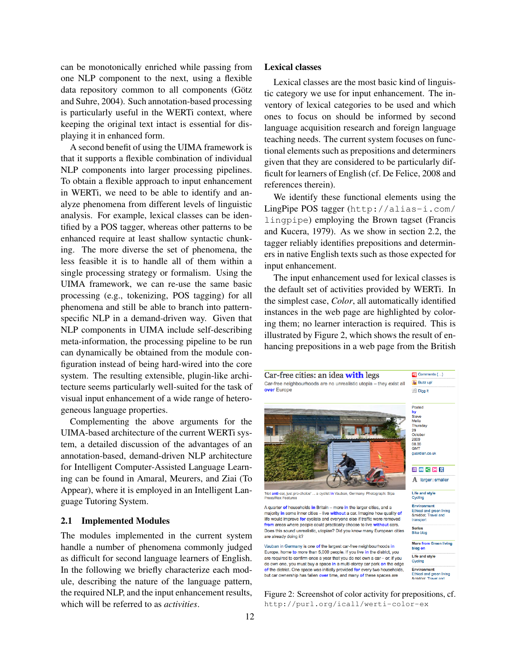can be monotonically enriched while passing from one NLP component to the next, using a flexible data repository common to all components (Götz and Suhre, 2004). Such annotation-based processing is particularly useful in the WERTi context, where keeping the original text intact is essential for displaying it in enhanced form.

A second benefit of using the UIMA framework is that it supports a flexible combination of individual NLP components into larger processing pipelines. To obtain a flexible approach to input enhancement in WERTi, we need to be able to identify and analyze phenomena from different levels of linguistic analysis. For example, lexical classes can be identified by a POS tagger, whereas other patterns to be enhanced require at least shallow syntactic chunking. The more diverse the set of phenomena, the less feasible it is to handle all of them within a single processing strategy or formalism. Using the UIMA framework, we can re-use the same basic processing (e.g., tokenizing, POS tagging) for all phenomena and still be able to branch into patternspecific NLP in a demand-driven way. Given that NLP components in UIMA include self-describing meta-information, the processing pipeline to be run can dynamically be obtained from the module configuration instead of being hard-wired into the core system. The resulting extensible, plugin-like architecture seems particularly well-suited for the task of visual input enhancement of a wide range of heterogeneous language properties.

Complementing the above arguments for the UIMA-based architecture of the current WERTi system, a detailed discussion of the advantages of an annotation-based, demand-driven NLP architecture for Intelligent Computer-Assisted Language Learning can be found in Amaral, Meurers, and Ziai (To Appear), where it is employed in an Intelligent Language Tutoring System.

### 2.1 Implemented Modules

The modules implemented in the current system handle a number of phenomena commonly judged as difficult for second language learners of English. In the following we briefly characterize each module, describing the nature of the language pattern, the required NLP, and the input enhancement results, which will be referred to as *activities*.

### Lexical classes

Lexical classes are the most basic kind of linguistic category we use for input enhancement. The inventory of lexical categories to be used and which ones to focus on should be informed by second language acquisition research and foreign language teaching needs. The current system focuses on functional elements such as prepositions and determiners given that they are considered to be particularly difficult for learners of English (cf. De Felice, 2008 and references therein).

We identify these functional elements using the LingPipe POS tagger (http://alias-i.com/ lingpipe) employing the Brown tagset (Francis and Kucera, 1979). As we show in section 2.2, the tagger reliably identifies prepositions and determiners in native English texts such as those expected for input enhancement.

The input enhancement used for lexical classes is the default set of activities provided by WERTi. In the simplest case, *Color*, all automatically identified instances in the web page are highlighted by coloring them; no learner interaction is required. This is illustrated by Figure 2, which shows the result of enhancing prepositions in a web page from the British



Figure 2: Screenshot of color activity for prepositions, cf. http://purl.org/icall/werti-color-ex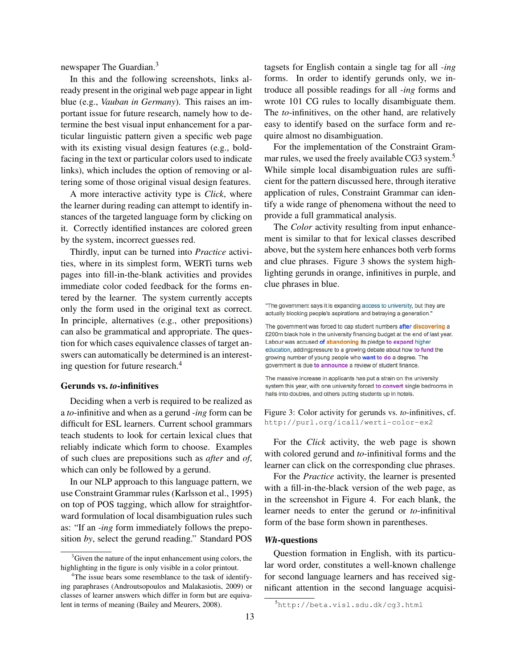newspaper The Guardian.<sup>3</sup>

In this and the following screenshots, links already present in the original web page appear in light blue (e.g., *Vauban in Germany*). This raises an important issue for future research, namely how to determine the best visual input enhancement for a particular linguistic pattern given a specific web page with its existing visual design features (e.g., boldfacing in the text or particular colors used to indicate links), which includes the option of removing or altering some of those original visual design features.

A more interactive activity type is *Click*, where the learner during reading can attempt to identify instances of the targeted language form by clicking on it. Correctly identified instances are colored green by the system, incorrect guesses red.

Thirdly, input can be turned into *Practice* activities, where in its simplest form, WERTi turns web pages into fill-in-the-blank activities and provides immediate color coded feedback for the forms entered by the learner. The system currently accepts only the form used in the original text as correct. In principle, alternatives (e.g., other prepositions) can also be grammatical and appropriate. The question for which cases equivalence classes of target answers can automatically be determined is an interesting question for future research.<sup>4</sup>

### Gerunds vs. *to*-infinitives

Deciding when a verb is required to be realized as a *to*-infinitive and when as a gerund *-ing* form can be difficult for ESL learners. Current school grammars teach students to look for certain lexical clues that reliably indicate which form to choose. Examples of such clues are prepositions such as *after* and *of*, which can only be followed by a gerund.

In our NLP approach to this language pattern, we use Constraint Grammar rules (Karlsson et al., 1995) on top of POS tagging, which allow for straightforward formulation of local disambiguation rules such as: "If an *-ing* form immediately follows the preposition *by*, select the gerund reading." Standard POS

tagsets for English contain a single tag for all *-ing* forms. In order to identify gerunds only, we introduce all possible readings for all *-ing* forms and wrote 101 CG rules to locally disambiguate them. The *to*-infinitives, on the other hand, are relatively easy to identify based on the surface form and require almost no disambiguation.

For the implementation of the Constraint Grammar rules, we used the freely available CG3 system.<sup>5</sup> While simple local disambiguation rules are sufficient for the pattern discussed here, through iterative application of rules, Constraint Grammar can identify a wide range of phenomena without the need to provide a full grammatical analysis.

The *Color* activity resulting from input enhancement is similar to that for lexical classes described above, but the system here enhances both verb forms and clue phrases. Figure 3 shows the system highlighting gerunds in orange, infinitives in purple, and clue phrases in blue.

"The government says it is expanding access to university, but they are actually blocking people's aspirations and betraying a generation."

The government was forced to cap student numbers after discovering a £200m black hole in the university financing budget at the end of last year. Labour was accused of abandoning its pledge to expand higher education, addingpressure to a growing debate about how to fund the growing number of young people who want to do a degree. The government is due to announce a review of student finance.

The massive increase in applicants has put a strain on the university system this year, with one university forced to convert single bedrooms in halls into doubles, and others putting students up in hotels.

Figure 3: Color activity for gerunds vs. *to*-infinitives, cf. http://purl.org/icall/werti-color-ex2

For the *Click* activity, the web page is shown with colored gerund and *to*-infinitival forms and the learner can click on the corresponding clue phrases.

For the *Practice* activity, the learner is presented with a fill-in-the-black version of the web page, as in the screenshot in Figure 4. For each blank, the learner needs to enter the gerund or *to*-infinitival form of the base form shown in parentheses.

## *Wh*-questions

Question formation in English, with its particular word order, constitutes a well-known challenge for second language learners and has received significant attention in the second language acquisi-

<sup>&</sup>lt;sup>3</sup>Given the nature of the input enhancement using colors, the highlighting in the figure is only visible in a color printout.

<sup>&</sup>lt;sup>4</sup>The issue bears some resemblance to the task of identifying paraphrases (Androutsopoulos and Malakasiotis, 2009) or classes of learner answers which differ in form but are equivalent in terms of meaning (Bailey and Meurers, 2008).

<sup>5</sup>http://beta.visl.sdu.dk/cg3.html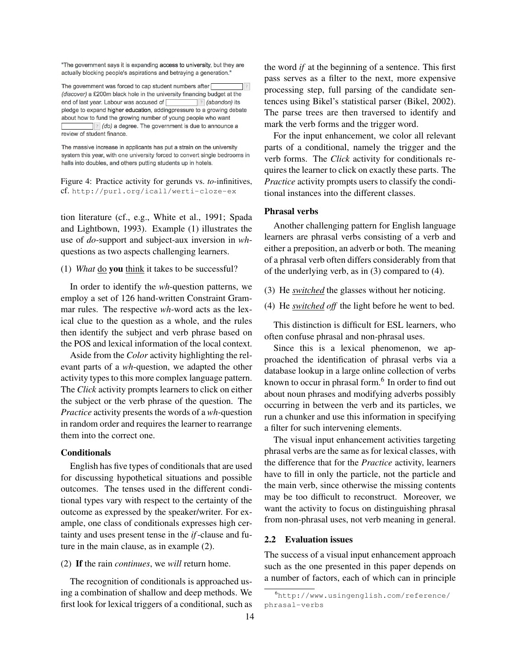"The government says it is expanding access to university, but they are actually blocking people's aspirations and betraying a generation."

The government was forced to cap student numbers after [  $|2|$ (discover) a £200m black hole in the university financing budget at the end of last year. Labour was accused of ? (abandon) its pledge to expand higher education, addingpressure to a growing debate about how to fund the growing number of young people who want ? (do) a degree. The government is due to announce a review of student finance.

The massive increase in applicants has put a strain on the university system this year, with one university forced to convert single bedrooms in halls into doubles, and others putting students up in hotels.

Figure 4: Practice activity for gerunds vs. *to*-infinitives, cf. http://purl.org/icall/werti-cloze-ex

tion literature (cf., e.g., White et al., 1991; Spada and Lightbown, 1993). Example (1) illustrates the use of *do*-support and subject-aux inversion in *wh*questions as two aspects challenging learners.

## (1) *What* do you think it takes to be successful?

In order to identify the *wh*-question patterns, we employ a set of 126 hand-written Constraint Grammar rules. The respective *wh*-word acts as the lexical clue to the question as a whole, and the rules then identify the subject and verb phrase based on the POS and lexical information of the local context.

Aside from the *Color* activity highlighting the relevant parts of a *wh*-question, we adapted the other activity types to this more complex language pattern. The *Click* activity prompts learners to click on either the subject or the verb phrase of the question. The *Practice* activity presents the words of a *wh*-question in random order and requires the learner to rearrange them into the correct one.

## **Conditionals**

English has five types of conditionals that are used for discussing hypothetical situations and possible outcomes. The tenses used in the different conditional types vary with respect to the certainty of the outcome as expressed by the speaker/writer. For example, one class of conditionals expresses high certainty and uses present tense in the *if*-clause and future in the main clause, as in example (2).

#### (2) If the rain *continues*, we *will* return home.

The recognition of conditionals is approached using a combination of shallow and deep methods. We first look for lexical triggers of a conditional, such as

the word *if* at the beginning of a sentence. This first pass serves as a filter to the next, more expensive processing step, full parsing of the candidate sentences using Bikel's statistical parser (Bikel, 2002). The parse trees are then traversed to identify and mark the verb forms and the trigger word.

For the input enhancement, we color all relevant parts of a conditional, namely the trigger and the verb forms. The *Click* activity for conditionals requires the learner to click on exactly these parts. The *Practice* activity prompts users to classify the conditional instances into the different classes.

### Phrasal verbs

Another challenging pattern for English language learners are phrasal verbs consisting of a verb and either a preposition, an adverb or both. The meaning of a phrasal verb often differs considerably from that of the underlying verb, as in (3) compared to (4).

- (3) He *switched* the glasses without her noticing.
- (4) He *switched off* the light before he went to bed.

This distinction is difficult for ESL learners, who often confuse phrasal and non-phrasal uses.

Since this is a lexical phenomenon, we approached the identification of phrasal verbs via a database lookup in a large online collection of verbs known to occur in phrasal form.<sup>6</sup> In order to find out about noun phrases and modifying adverbs possibly occurring in between the verb and its particles, we run a chunker and use this information in specifying a filter for such intervening elements.

The visual input enhancement activities targeting phrasal verbs are the same as for lexical classes, with the difference that for the *Practice* activity, learners have to fill in only the particle, not the particle and the main verb, since otherwise the missing contents may be too difficult to reconstruct. Moreover, we want the activity to focus on distinguishing phrasal from non-phrasal uses, not verb meaning in general.

## 2.2 Evaluation issues

The success of a visual input enhancement approach such as the one presented in this paper depends on a number of factors, each of which can in principle

<sup>6</sup>http://www.usingenglish.com/reference/ phrasal-verbs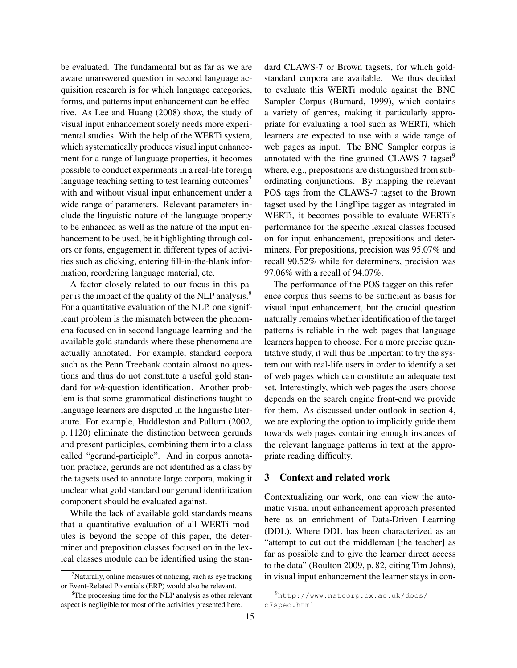be evaluated. The fundamental but as far as we are aware unanswered question in second language acquisition research is for which language categories, forms, and patterns input enhancement can be effective. As Lee and Huang (2008) show, the study of visual input enhancement sorely needs more experimental studies. With the help of the WERTi system, which systematically produces visual input enhancement for a range of language properties, it becomes possible to conduct experiments in a real-life foreign language teaching setting to test learning outcomes<sup>7</sup> with and without visual input enhancement under a wide range of parameters. Relevant parameters include the linguistic nature of the language property to be enhanced as well as the nature of the input enhancement to be used, be it highlighting through colors or fonts, engagement in different types of activities such as clicking, entering fill-in-the-blank information, reordering language material, etc.

A factor closely related to our focus in this paper is the impact of the quality of the NLP analysis.<sup>8</sup> For a quantitative evaluation of the NLP, one significant problem is the mismatch between the phenomena focused on in second language learning and the available gold standards where these phenomena are actually annotated. For example, standard corpora such as the Penn Treebank contain almost no questions and thus do not constitute a useful gold standard for *wh*-question identification. Another problem is that some grammatical distinctions taught to language learners are disputed in the linguistic literature. For example, Huddleston and Pullum (2002, p. 1120) eliminate the distinction between gerunds and present participles, combining them into a class called "gerund-participle". And in corpus annotation practice, gerunds are not identified as a class by the tagsets used to annotate large corpora, making it unclear what gold standard our gerund identification component should be evaluated against.

While the lack of available gold standards means that a quantitative evaluation of all WERTi modules is beyond the scope of this paper, the determiner and preposition classes focused on in the lexical classes module can be identified using the standard CLAWS-7 or Brown tagsets, for which goldstandard corpora are available. We thus decided to evaluate this WERTi module against the BNC Sampler Corpus (Burnard, 1999), which contains a variety of genres, making it particularly appropriate for evaluating a tool such as WERTi, which learners are expected to use with a wide range of web pages as input. The BNC Sampler corpus is annotated with the fine-grained CLAWS-7 tagset $9$ where, e.g., prepositions are distinguished from subordinating conjunctions. By mapping the relevant POS tags from the CLAWS-7 tagset to the Brown tagset used by the LingPipe tagger as integrated in WERTi, it becomes possible to evaluate WERTi's performance for the specific lexical classes focused on for input enhancement, prepositions and determiners. For prepositions, precision was 95.07% and recall 90.52% while for determiners, precision was 97.06% with a recall of 94.07%.

The performance of the POS tagger on this reference corpus thus seems to be sufficient as basis for visual input enhancement, but the crucial question naturally remains whether identification of the target patterns is reliable in the web pages that language learners happen to choose. For a more precise quantitative study, it will thus be important to try the system out with real-life users in order to identify a set of web pages which can constitute an adequate test set. Interestingly, which web pages the users choose depends on the search engine front-end we provide for them. As discussed under outlook in section 4, we are exploring the option to implicitly guide them towards web pages containing enough instances of the relevant language patterns in text at the appropriate reading difficulty.

## 3 Context and related work

Contextualizing our work, one can view the automatic visual input enhancement approach presented here as an enrichment of Data-Driven Learning (DDL). Where DDL has been characterized as an "attempt to cut out the middleman [the teacher] as far as possible and to give the learner direct access to the data" (Boulton 2009, p. 82, citing Tim Johns), in visual input enhancement the learner stays in con-

 $\alpha$ <sup>7</sup>Naturally, online measures of noticing, such as eye tracking or Event-Related Potentials (ERP) would also be relevant.

<sup>&</sup>lt;sup>8</sup>The processing time for the NLP analysis as other relevant aspect is negligible for most of the activities presented here.

<sup>9</sup>http://www.natcorp.ox.ac.uk/docs/ c7spec.html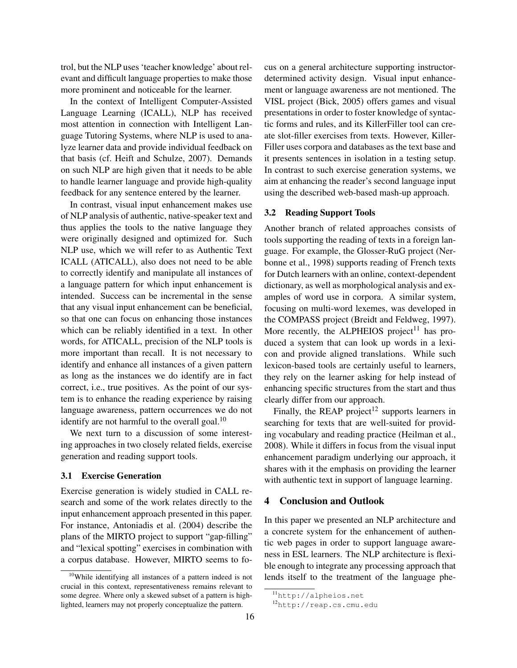trol, but the NLP uses 'teacher knowledge' about relevant and difficult language properties to make those more prominent and noticeable for the learner.

In the context of Intelligent Computer-Assisted Language Learning (ICALL), NLP has received most attention in connection with Intelligent Language Tutoring Systems, where NLP is used to analyze learner data and provide individual feedback on that basis (cf. Heift and Schulze, 2007). Demands on such NLP are high given that it needs to be able to handle learner language and provide high-quality feedback for any sentence entered by the learner.

In contrast, visual input enhancement makes use of NLP analysis of authentic, native-speaker text and thus applies the tools to the native language they were originally designed and optimized for. Such NLP use, which we will refer to as Authentic Text ICALL (ATICALL), also does not need to be able to correctly identify and manipulate all instances of a language pattern for which input enhancement is intended. Success can be incremental in the sense that any visual input enhancement can be beneficial, so that one can focus on enhancing those instances which can be reliably identified in a text. In other words, for ATICALL, precision of the NLP tools is more important than recall. It is not necessary to identify and enhance all instances of a given pattern as long as the instances we do identify are in fact correct, i.e., true positives. As the point of our system is to enhance the reading experience by raising language awareness, pattern occurrences we do not identify are not harmful to the overall goal. $^{10}$ 

We next turn to a discussion of some interesting approaches in two closely related fields, exercise generation and reading support tools.

## 3.1 Exercise Generation

Exercise generation is widely studied in CALL research and some of the work relates directly to the input enhancement approach presented in this paper. For instance, Antoniadis et al. (2004) describe the plans of the MIRTO project to support "gap-filling" and "lexical spotting" exercises in combination with a corpus database. However, MIRTO seems to focus on a general architecture supporting instructordetermined activity design. Visual input enhancement or language awareness are not mentioned. The VISL project (Bick, 2005) offers games and visual presentations in order to foster knowledge of syntactic forms and rules, and its KillerFiller tool can create slot-filler exercises from texts. However, Killer-Filler uses corpora and databases as the text base and it presents sentences in isolation in a testing setup. In contrast to such exercise generation systems, we aim at enhancing the reader's second language input using the described web-based mash-up approach.

## 3.2 Reading Support Tools

Another branch of related approaches consists of tools supporting the reading of texts in a foreign language. For example, the Glosser-RuG project (Nerbonne et al., 1998) supports reading of French texts for Dutch learners with an online, context-dependent dictionary, as well as morphological analysis and examples of word use in corpora. A similar system, focusing on multi-word lexemes, was developed in the COMPASS project (Breidt and Feldweg, 1997). More recently, the ALPHEIOS project<sup>11</sup> has produced a system that can look up words in a lexicon and provide aligned translations. While such lexicon-based tools are certainly useful to learners, they rely on the learner asking for help instead of enhancing specific structures from the start and thus clearly differ from our approach.

Finally, the REAP project<sup>12</sup> supports learners in searching for texts that are well-suited for providing vocabulary and reading practice (Heilman et al., 2008). While it differs in focus from the visual input enhancement paradigm underlying our approach, it shares with it the emphasis on providing the learner with authentic text in support of language learning.

## 4 Conclusion and Outlook

In this paper we presented an NLP architecture and a concrete system for the enhancement of authentic web pages in order to support language awareness in ESL learners. The NLP architecture is flexible enough to integrate any processing approach that lends itself to the treatment of the language phe-

<sup>&</sup>lt;sup>10</sup>While identifying all instances of a pattern indeed is not crucial in this context, representativeness remains relevant to some degree. Where only a skewed subset of a pattern is highlighted, learners may not properly conceptualize the pattern.

<sup>11</sup>http://alpheios.net

<sup>12</sup>http://reap.cs.cmu.edu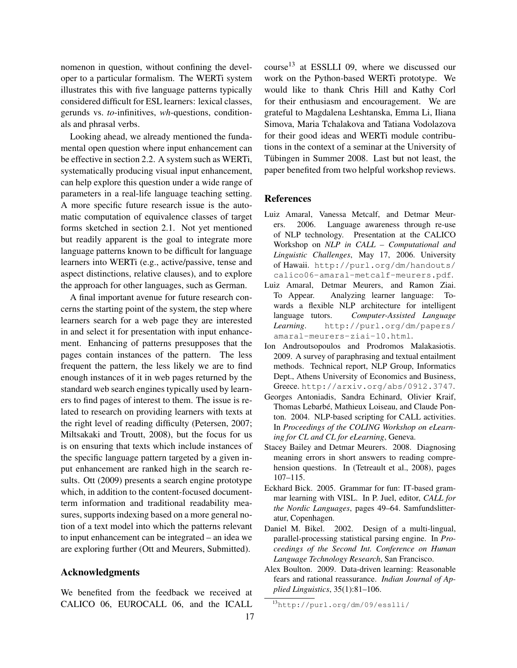nomenon in question, without confining the developer to a particular formalism. The WERTi system illustrates this with five language patterns typically considered difficult for ESL learners: lexical classes, gerunds vs. *to*-infinitives, *wh*-questions, conditionals and phrasal verbs.

Looking ahead, we already mentioned the fundamental open question where input enhancement can be effective in section 2.2. A system such as WERTi, systematically producing visual input enhancement, can help explore this question under a wide range of parameters in a real-life language teaching setting. A more specific future research issue is the automatic computation of equivalence classes of target forms sketched in section 2.1. Not yet mentioned but readily apparent is the goal to integrate more language patterns known to be difficult for language learners into WERTi (e.g., active/passive, tense and aspect distinctions, relative clauses), and to explore the approach for other languages, such as German.

A final important avenue for future research concerns the starting point of the system, the step where learners search for a web page they are interested in and select it for presentation with input enhancement. Enhancing of patterns presupposes that the pages contain instances of the pattern. The less frequent the pattern, the less likely we are to find enough instances of it in web pages returned by the standard web search engines typically used by learners to find pages of interest to them. The issue is related to research on providing learners with texts at the right level of reading difficulty (Petersen, 2007; Miltsakaki and Troutt, 2008), but the focus for us is on ensuring that texts which include instances of the specific language pattern targeted by a given input enhancement are ranked high in the search results. Ott (2009) presents a search engine prototype which, in addition to the content-focused documentterm information and traditional readability measures, supports indexing based on a more general notion of a text model into which the patterns relevant to input enhancement can be integrated – an idea we are exploring further (Ott and Meurers, Submitted).

## Acknowledgments

We benefited from the feedback we received at CALICO 06, EUROCALL 06, and the ICALL

course<sup>13</sup> at ESSLLI 09, where we discussed our work on the Python-based WERTi prototype. We would like to thank Chris Hill and Kathy Corl for their enthusiasm and encouragement. We are grateful to Magdalena Leshtanska, Emma Li, Iliana Simova, Maria Tchalakova and Tatiana Vodolazova for their good ideas and WERTi module contributions in the context of a seminar at the University of Tübingen in Summer 2008. Last but not least, the paper benefited from two helpful workshop reviews.

## References

- Luiz Amaral, Vanessa Metcalf, and Detmar Meurers. 2006. Language awareness through re-use of NLP technology. Presentation at the CALICO Workshop on *NLP in CALL – Computational and Linguistic Challenges*, May 17, 2006. University of Hawaii. http://purl.org/dm/handouts/ calico06-amaral-metcalf-meurers.pdf.
- Luiz Amaral, Detmar Meurers, and Ramon Ziai. To Appear. Analyzing learner language: Towards a flexible NLP architecture for intelligent language tutors. *Computer-Assisted Language Learning*. http://purl.org/dm/papers/ amaral-meurers-ziai-10.html.
- Ion Androutsopoulos and Prodromos Malakasiotis. 2009. A survey of paraphrasing and textual entailment methods. Technical report, NLP Group, Informatics Dept., Athens University of Economics and Business, Greece. http://arxiv.org/abs/0912.3747.
- Georges Antoniadis, Sandra Echinard, Olivier Kraif, Thomas Lebarbé, Mathieux Loiseau, and Claude Ponton. 2004. NLP-based scripting for CALL activities. In *Proceedings of the COLING Workshop on eLearning for CL and CL for eLearning*, Geneva.
- Stacey Bailey and Detmar Meurers. 2008. Diagnosing meaning errors in short answers to reading comprehension questions. In (Tetreault et al., 2008), pages 107–115.
- Eckhard Bick. 2005. Grammar for fun: IT-based grammar learning with VISL. In P. Juel, editor, *CALL for the Nordic Languages*, pages 49–64. Samfundslitteratur, Copenhagen.
- Daniel M. Bikel. 2002. Design of a multi-lingual, parallel-processing statistical parsing engine. In *Proceedings of the Second Int. Conference on Human Language Technology Research*, San Francisco.
- Alex Boulton. 2009. Data-driven learning: Reasonable fears and rational reassurance. *Indian Journal of Applied Linguistics*, 35(1):81–106.

<sup>13</sup>http://purl.org/dm/09/esslli/